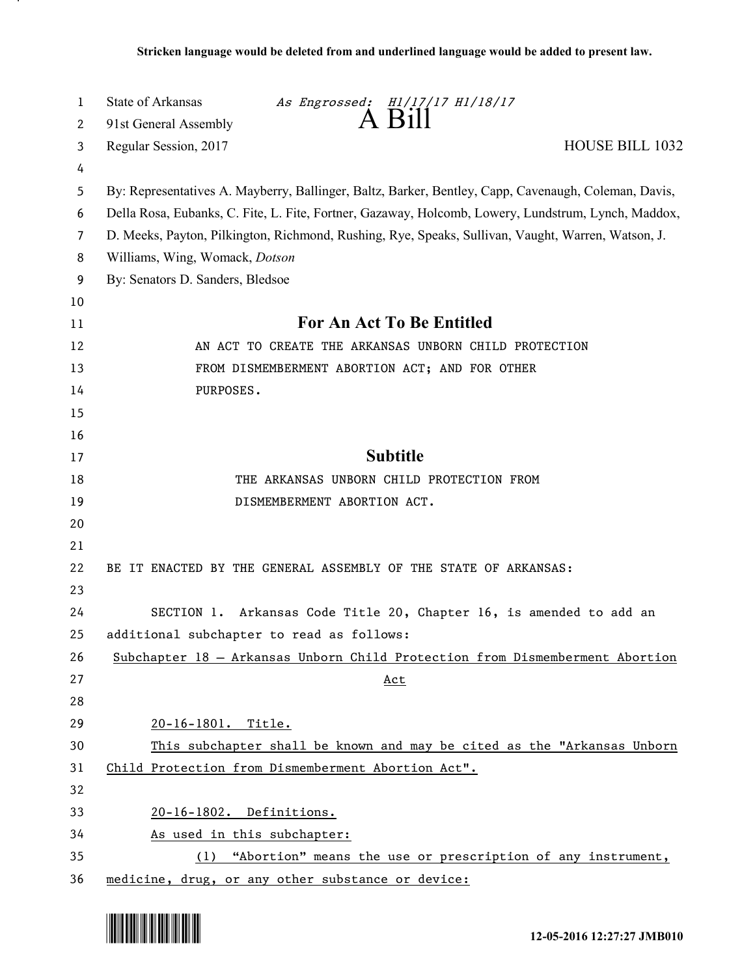| A Bill<br>91st General Assembly<br>2<br>HOUSE BILL 1032<br>Regular Session, 2017<br>3<br>4<br>By: Representatives A. Mayberry, Ballinger, Baltz, Barker, Bentley, Capp, Cavenaugh, Coleman, Davis,<br>5<br>Della Rosa, Eubanks, C. Fite, L. Fite, Fortner, Gazaway, Holcomb, Lowery, Lundstrum, Lynch, Maddox,<br>6<br>D. Meeks, Payton, Pilkington, Richmond, Rushing, Rye, Speaks, Sullivan, Vaught, Warren, Watson, J.<br>7<br>Williams, Wing, Womack, Dotson<br>8<br>By: Senators D. Sanders, Bledsoe<br>9<br>10<br><b>For An Act To Be Entitled</b><br>11<br>12<br>AN ACT TO CREATE THE ARKANSAS UNBORN CHILD PROTECTION |  |
|-------------------------------------------------------------------------------------------------------------------------------------------------------------------------------------------------------------------------------------------------------------------------------------------------------------------------------------------------------------------------------------------------------------------------------------------------------------------------------------------------------------------------------------------------------------------------------------------------------------------------------|--|
|                                                                                                                                                                                                                                                                                                                                                                                                                                                                                                                                                                                                                               |  |
|                                                                                                                                                                                                                                                                                                                                                                                                                                                                                                                                                                                                                               |  |
|                                                                                                                                                                                                                                                                                                                                                                                                                                                                                                                                                                                                                               |  |
|                                                                                                                                                                                                                                                                                                                                                                                                                                                                                                                                                                                                                               |  |
|                                                                                                                                                                                                                                                                                                                                                                                                                                                                                                                                                                                                                               |  |
|                                                                                                                                                                                                                                                                                                                                                                                                                                                                                                                                                                                                                               |  |
|                                                                                                                                                                                                                                                                                                                                                                                                                                                                                                                                                                                                                               |  |
|                                                                                                                                                                                                                                                                                                                                                                                                                                                                                                                                                                                                                               |  |
|                                                                                                                                                                                                                                                                                                                                                                                                                                                                                                                                                                                                                               |  |
|                                                                                                                                                                                                                                                                                                                                                                                                                                                                                                                                                                                                                               |  |
| 13<br>FROM DISMEMBERMENT ABORTION ACT; AND FOR OTHER                                                                                                                                                                                                                                                                                                                                                                                                                                                                                                                                                                          |  |
| 14<br>PURPOSES.                                                                                                                                                                                                                                                                                                                                                                                                                                                                                                                                                                                                               |  |
| 15                                                                                                                                                                                                                                                                                                                                                                                                                                                                                                                                                                                                                            |  |
| 16                                                                                                                                                                                                                                                                                                                                                                                                                                                                                                                                                                                                                            |  |
| <b>Subtitle</b><br>17                                                                                                                                                                                                                                                                                                                                                                                                                                                                                                                                                                                                         |  |
| 18<br>THE ARKANSAS UNBORN CHILD PROTECTION FROM                                                                                                                                                                                                                                                                                                                                                                                                                                                                                                                                                                               |  |
| 19<br>DISMEMBERMENT ABORTION ACT.                                                                                                                                                                                                                                                                                                                                                                                                                                                                                                                                                                                             |  |
| 20                                                                                                                                                                                                                                                                                                                                                                                                                                                                                                                                                                                                                            |  |
| 21                                                                                                                                                                                                                                                                                                                                                                                                                                                                                                                                                                                                                            |  |
| 22<br>BE IT ENACTED BY THE GENERAL ASSEMBLY OF THE STATE OF ARKANSAS:                                                                                                                                                                                                                                                                                                                                                                                                                                                                                                                                                         |  |
| 23                                                                                                                                                                                                                                                                                                                                                                                                                                                                                                                                                                                                                            |  |
| 24<br>SECTION 1. Arkansas Code Title 20, Chapter 16, is amended to add an                                                                                                                                                                                                                                                                                                                                                                                                                                                                                                                                                     |  |
| 25<br>additional subchapter to read as follows:                                                                                                                                                                                                                                                                                                                                                                                                                                                                                                                                                                               |  |
| 26<br>Subchapter 18 - Arkansas Unborn Child Protection from Dismemberment Abortion                                                                                                                                                                                                                                                                                                                                                                                                                                                                                                                                            |  |
| 27<br><u>Act</u>                                                                                                                                                                                                                                                                                                                                                                                                                                                                                                                                                                                                              |  |
| 28                                                                                                                                                                                                                                                                                                                                                                                                                                                                                                                                                                                                                            |  |
| 29<br>20-16-1801. Title.                                                                                                                                                                                                                                                                                                                                                                                                                                                                                                                                                                                                      |  |
| 30<br>This subchapter shall be known and may be cited as the "Arkansas Unborn                                                                                                                                                                                                                                                                                                                                                                                                                                                                                                                                                 |  |
| 31<br>Child Protection from Dismemberment Abortion Act".                                                                                                                                                                                                                                                                                                                                                                                                                                                                                                                                                                      |  |
| 32                                                                                                                                                                                                                                                                                                                                                                                                                                                                                                                                                                                                                            |  |
| 33<br>20-16-1802. Definitions.                                                                                                                                                                                                                                                                                                                                                                                                                                                                                                                                                                                                |  |
| 34<br>As used in this subchapter:                                                                                                                                                                                                                                                                                                                                                                                                                                                                                                                                                                                             |  |
| 35<br>(1) "Abortion" means the use or prescription of any instrument,<br>medicine, drug, or any other substance or device:<br>36                                                                                                                                                                                                                                                                                                                                                                                                                                                                                              |  |



.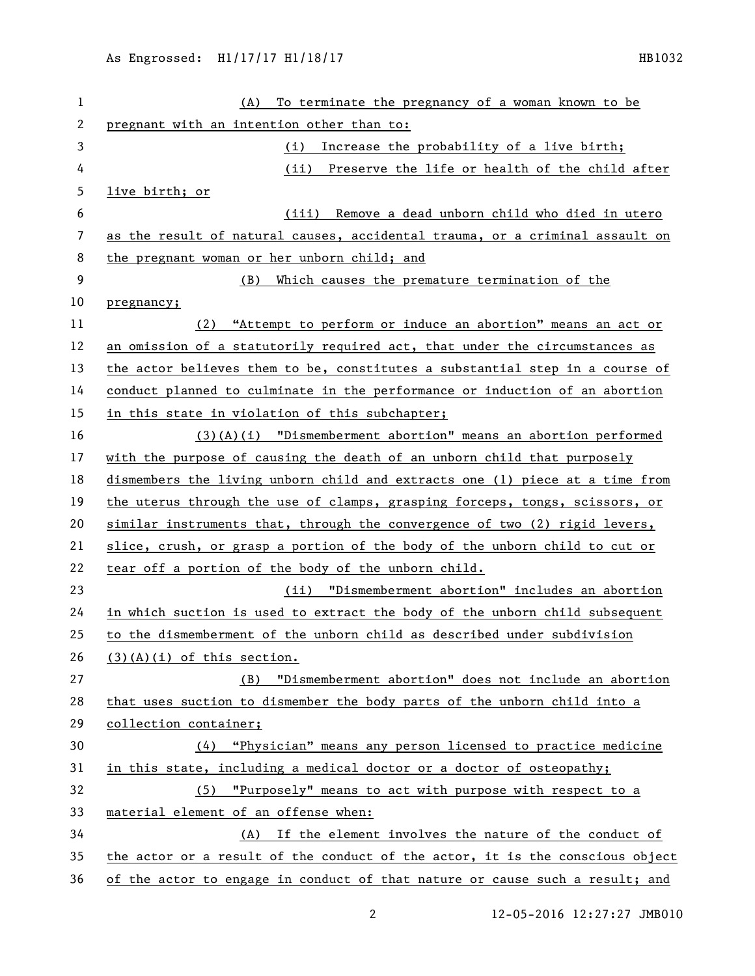| 1  | To terminate the pregnancy of a woman known to be<br>(A)                      |
|----|-------------------------------------------------------------------------------|
| 2  | pregnant with an intention other than to:                                     |
| 3  | Increase the probability of a live birth;<br>(i)                              |
| 4  | Preserve the life or health of the child after<br>(ii)                        |
| 5  | live birth; or                                                                |
| 6  | Remove a dead unborn child who died in utero<br>(iii)                         |
| 7  | as the result of natural causes, accidental trauma, or a criminal assault on  |
| 8  | the pregnant woman or her unborn child; and                                   |
| 9  | (B) Which causes the premature termination of the                             |
| 10 | pregnancy;                                                                    |
| 11 | (2) "Attempt to perform or induce an abortion" means an act or                |
| 12 | an omission of a statutorily required act, that under the circumstances as    |
| 13 | the actor believes them to be, constitutes a substantial step in a course of  |
| 14 | conduct planned to culminate in the performance or induction of an abortion   |
| 15 | in this state in violation of this subchapter;                                |
| 16 | $(3)(A)(i)$ "Dismemberment abortion" means an abortion performed              |
| 17 | with the purpose of causing the death of an unborn child that purposely       |
| 18 | dismembers the living unborn child and extracts one (1) piece at a time from  |
| 19 | the uterus through the use of clamps, grasping forceps, tongs, scissors, or   |
| 20 | similar instruments that, through the convergence of two (2) rigid levers,    |
| 21 | slice, crush, or grasp a portion of the body of the unborn child to cut or    |
| 22 | tear off a portion of the body of the unborn child.                           |
| 23 | (ii) "Dismemberment abortion" includes an abortion                            |
| 24 | in which suction is used to extract the body of the unborn child subsequent   |
| 25 | to the dismemberment of the unborn child as described under subdivision       |
| 26 | $(3)(A)(i)$ of this section.                                                  |
| 27 | "Dismemberment abortion" does not include an abortion<br>(B)                  |
| 28 | that uses suction to dismember the body parts of the unborn child into a      |
| 29 | collection container;                                                         |
| 30 | (4) "Physician" means any person licensed to practice medicine                |
| 31 | in this state, including a medical doctor or a doctor of osteopathy;          |
| 32 | (5) "Purposely" means to act with purpose with respect to a                   |
| 33 | material element of an offense when:                                          |
| 34 | (A) If the element involves the nature of the conduct of                      |
| 35 | the actor or a result of the conduct of the actor, it is the conscious object |
| 36 | of the actor to engage in conduct of that nature or cause such a result; and  |

12-05-2016 12:27:27 JMB010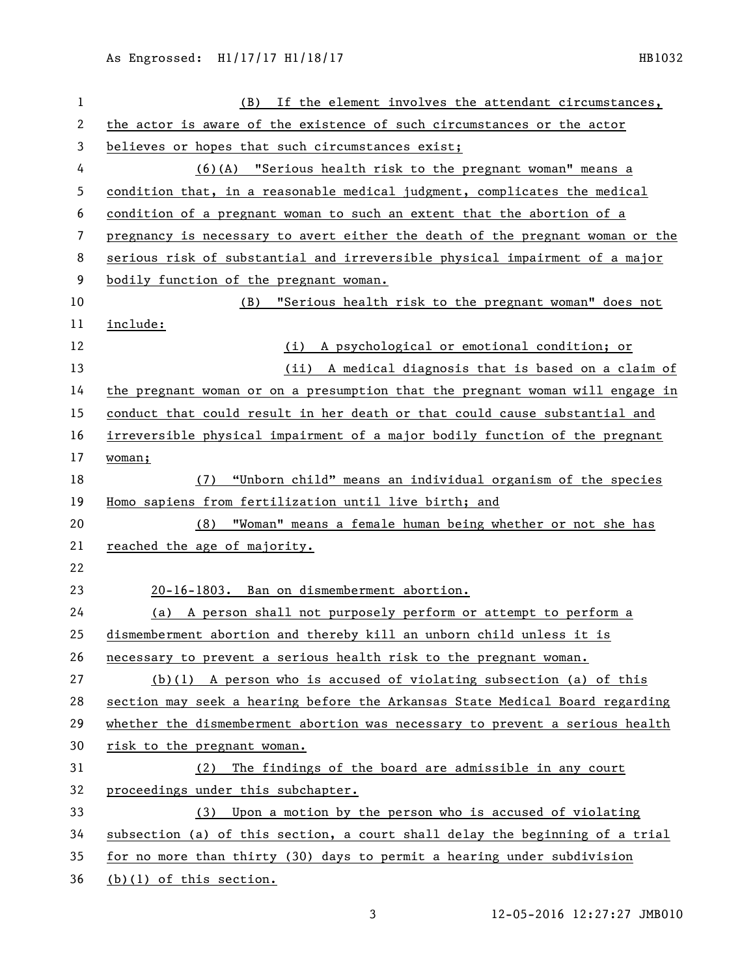| $\mathbf{1}$ | (B) If the element involves the attendant circumstances,                      |
|--------------|-------------------------------------------------------------------------------|
| 2            | the actor is aware of the existence of such circumstances or the actor        |
| 3            | believes or hopes that such circumstances exist;                              |
| 4            | (6)(A) "Serious health risk to the pregnant woman" means a                    |
| 5            | condition that, in a reasonable medical judgment, complicates the medical     |
| 6            | condition of a pregnant woman to such an extent that the abortion of a        |
| 7            | pregnancy is necessary to avert either the death of the pregnant woman or the |
| 8            | serious risk of substantial and irreversible physical impairment of a major   |
| 9            | bodily function of the pregnant woman.                                        |
| 10           | "Serious health risk to the pregnant woman" does not<br>(B)                   |
| 11           | include:                                                                      |
| 12           | (i) A psychological or emotional condition; or                                |
| 13           | (ii) A medical diagnosis that is based on a claim of                          |
| 14           | the pregnant woman or on a presumption that the pregnant woman will engage in |
| 15           | conduct that could result in her death or that could cause substantial and    |
| 16           | irreversible physical impairment of a major bodily function of the pregnant   |
| 17           | woman;                                                                        |
| 18           | "Unborn child" means an individual organism of the species<br>(7)             |
| 19           | Homo sapiens from fertilization until live birth; and                         |
| 20           | (8) "Woman" means a female human being whether or not she has                 |
| 21           | reached the age of majority.                                                  |
| 22           |                                                                               |
| 23           | 20-16-1803. Ban on dismemberment abortion.                                    |
| 24           | (a) A person shall not purposely perform or attempt to perform a              |
| 25           | dismemberment abortion and thereby kill an unborn child unless it is          |
| 26           | necessary to prevent a serious health risk to the pregnant woman.             |
| 27           | $(b)(1)$ A person who is accused of violating subsection (a) of this          |
| 28           | section may seek a hearing before the Arkansas State Medical Board regarding  |
| 29           | whether the dismemberment abortion was necessary to prevent a serious health  |
| 30           | risk to the pregnant woman.                                                   |
| 31           | The findings of the board are admissible in any court<br>(2)                  |
| 32           | proceedings under this subchapter.                                            |
| 33           | (3) Upon a motion by the person who is accused of violating                   |
| 34           | subsection (a) of this section, a court shall delay the beginning of a trial  |
| 35           | for no more than thirty (30) days to permit a hearing under subdivision       |
| 36           | $(b)(1)$ of this section.                                                     |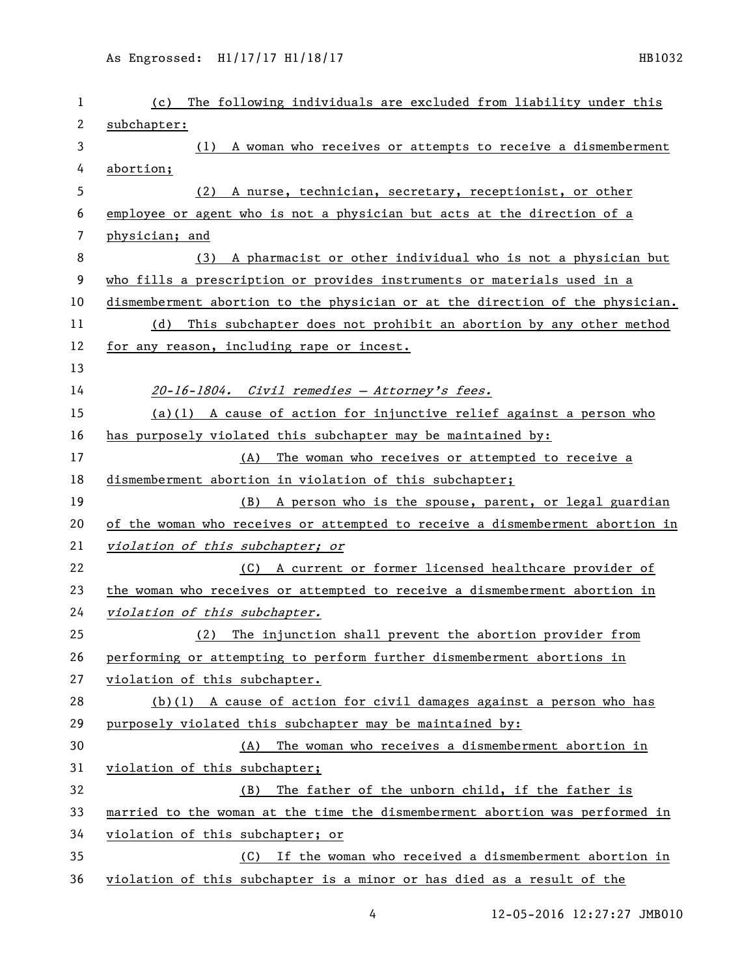| 1  | The following individuals are excluded from liability under this<br>(c)       |
|----|-------------------------------------------------------------------------------|
| 2  | subchapter:                                                                   |
| 3  | (1) A woman who receives or attempts to receive a dismemberment               |
| 4  | abortion;                                                                     |
| 5  | A nurse, technician, secretary, receptionist, or other<br>(2)                 |
| 6  | employee or agent who is not a physician but acts at the direction of a       |
| 7  | physician; and                                                                |
| 8  | A pharmacist or other individual who is not a physician but<br>(3)            |
| 9  | who fills a prescription or provides instruments or materials used in a       |
| 10 | dismemberment abortion to the physician or at the direction of the physician. |
| 11 | This subchapter does not prohibit an abortion by any other method<br>(d)      |
| 12 | for any reason, including rape or incest.                                     |
| 13 |                                                                               |
| 14 | 20-16-1804. Civil remedies - Attorney's fees.                                 |
| 15 | $(a)(1)$ A cause of action for injunctive relief against a person who         |
| 16 | has purposely violated this subchapter may be maintained by:                  |
| 17 | The woman who receives or attempted to receive a<br>(A)                       |
| 18 | dismemberment abortion in violation of this subchapter;                       |
| 19 | (B) A person who is the spouse, parent, or legal guardian                     |
| 20 | of the woman who receives or attempted to receive a dismemberment abortion in |
| 21 | violation of this subchapter; or                                              |
| 22 | (C) A current or former licensed healthcare provider of                       |
| 23 | the woman who receives or attempted to receive a dismemberment abortion in    |
| 24 | violation of this subchapter.                                                 |
| 25 | The injunction shall prevent the abortion provider from<br>(2)                |
| 26 | performing or attempting to perform further dismemberment abortions in        |
| 27 | violation of this subchapter.                                                 |
| 28 | $(b)(1)$ A cause of action for civil damages against a person who has         |
| 29 | purposely violated this subchapter may be maintained by:                      |
| 30 | The woman who receives a dismemberment abortion in<br>(A)                     |
| 31 | violation of this subchapter;                                                 |
| 32 | The father of the unborn child, if the father is<br>(B)                       |
| 33 | married to the woman at the time the dismemberment abortion was performed in  |
| 34 | violation of this subchapter; or                                              |
| 35 | If the woman who received a dismemberment abortion in<br>(C)                  |
| 36 | violation of this subchapter is a minor or has died as a result of the        |

4 12-05-2016 12:27:27 JMB010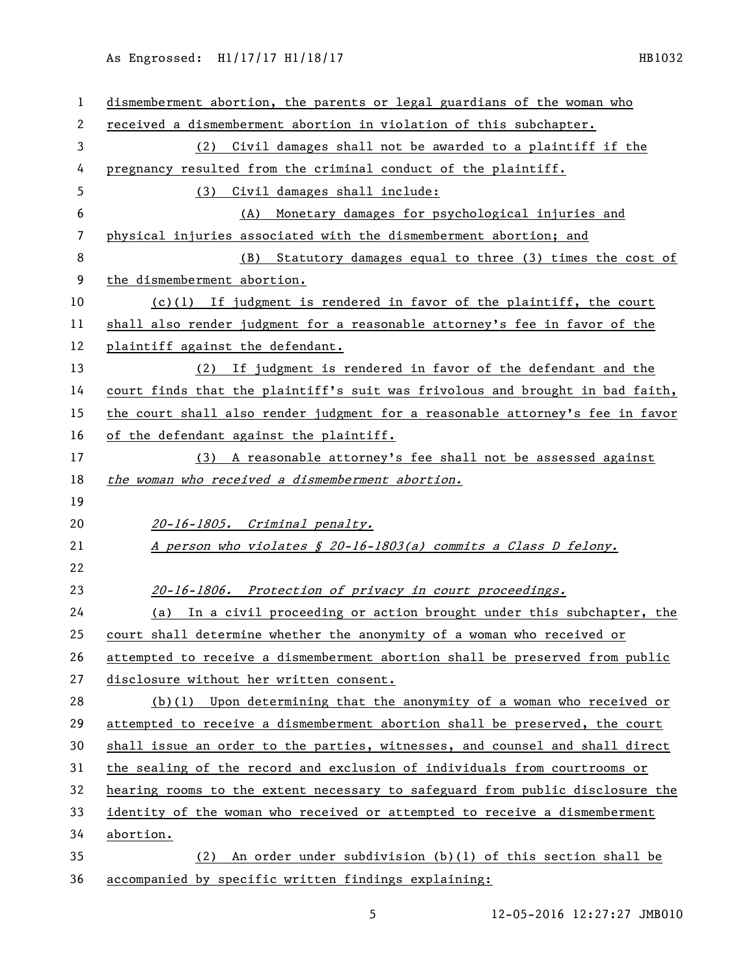## As Engrossed: H1/17/17 H1/18/17 111 12/17 112

| 1                        | dismemberment abortion, the parents or legal guardians of the woman who       |
|--------------------------|-------------------------------------------------------------------------------|
| 2                        | received a dismemberment abortion in violation of this subchapter.            |
| 3                        | (2) Civil damages shall not be awarded to a plaintiff if the                  |
| 4                        | pregnancy resulted from the criminal conduct of the plaintiff.                |
| 5                        | Civil damages shall include:<br>(3)                                           |
| 6                        | Monetary damages for psychological injuries and<br>(A)                        |
| $\overline{\phantom{a}}$ | physical injuries associated with the dismemberment abortion; and             |
| 8                        | Statutory damages equal to three (3) times the cost of<br>(B)                 |
| 9                        | the dismemberment abortion.                                                   |
| 10                       | $(c)(1)$ If judgment is rendered in favor of the plaintiff, the court         |
| 11                       | shall also render judgment for a reasonable attorney's fee in favor of the    |
| 12                       | plaintiff against the defendant.                                              |
| 13                       | If judgment is rendered in favor of the defendant and the<br>(2)              |
| 14                       | court finds that the plaintiff's suit was frivolous and brought in bad faith, |
| 15                       | the court shall also render judgment for a reasonable attorney's fee in favor |
| 16                       | of the defendant against the plaintiff.                                       |
| 17                       | (3) A reasonable attorney's fee shall not be assessed against                 |
| 18                       | the woman who received a dismemberment abortion.                              |
| 19                       |                                                                               |
| 20                       | 20-16-1805. Criminal penalty.                                                 |
| 21                       | A person who violates § 20-16-1803(a) commits a Class D felony.               |
| 22                       |                                                                               |
| 23                       | 20-16-1806. Protection of privacy in court proceedings.                       |
| 24                       | In a civil proceeding or action brought under this subchapter, the<br>(a)     |
| 25                       | court shall determine whether the anonymity of a woman who received or        |
| 26                       | attempted to receive a dismemberment abortion shall be preserved from public  |
| 27                       | disclosure without her written consent.                                       |
| 28                       | $(b)(1)$ Upon determining that the anonymity of a woman who received or       |
| 29                       | attempted to receive a dismemberment abortion shall be preserved, the court   |
| 30                       | shall issue an order to the parties, witnesses, and counsel and shall direct  |
| 31                       | the sealing of the record and exclusion of individuals from courtrooms or     |
| 32                       | hearing rooms to the extent necessary to safeguard from public disclosure the |
| 33                       | identity of the woman who received or attempted to receive a dismemberment    |
| 34                       |                                                                               |
|                          | abortion.                                                                     |
| 35                       | An order under subdivision $(b)(1)$ of this section shall be<br>(2)           |